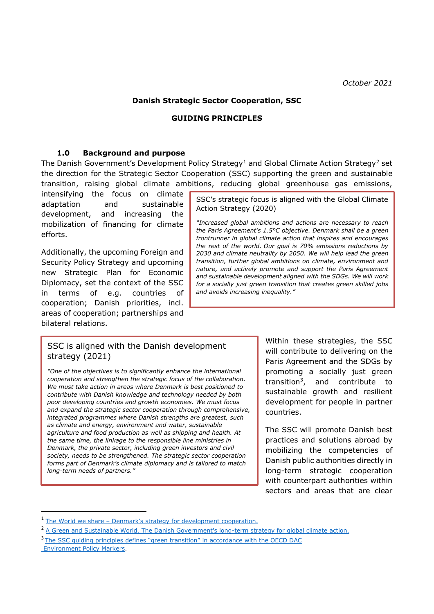#### **Danish Strategic Sector Cooperation, SSC**

#### **GUIDING PRINCIPLES**

#### **1.0 Background and purpose**

The Danish Government's Development Policy Strategy<sup>1</sup> and Global Climate Action Strategy<sup>2</sup> set the direction for the Strategic Sector Cooperation (SSC) supporting the green and sustainable transition, raising global climate ambitions, reducing global greenhouse gas emissions,

intensifying the focus on climate adaptation and sustainable development, and increasing the mobilization of financing for climate efforts.

Additionally, the upcoming Foreign and Security Policy Strategy and upcoming new Strategic Plan for Economic Diplomacy, set the context of the SSC in terms of e.g. countries of cooperation; Danish priorities, incl. areas of cooperation; partnerships and bilateral relations.

SSC's strategic focus is aligned with the Global Climate Action Strategy (2020)

*"Increased global ambitions and actions are necessary to reach the Paris Agreement's 1.5°C objective. Denmark shall be a green frontrunner in global climate action that inspires and encourages the rest of the world. Our goal is 70% emissions reductions by 2030 and climate neutrality by 2050. We will help lead the green transition, further global ambitions on climate, environment and nature, and actively promote and support the Paris Agreement and sustainable development aligned with the SDGs. We will work for a socially just green transition that creates green skilled jobs and avoids increasing inequality."*

### SSC is aligned with the Danish development strategy (2021)

*"One of the objectives is to significantly enhance the international cooperation and strengthen the strategic focus of the collaboration. We must take action in areas where Denmark is best positioned to contribute with Danish knowledge and technology needed by both poor developing countries and growth economies. We must focus and expand the strategic sector cooperation through comprehensive, integrated programmes where Danish strengths are greatest, such as climate and energy, environment and water, sustainable agriculture and food production as well as shipping and health. At the same time, the linkage to the responsible line ministries in Denmark, the private sector, including green investors and civil society, needs to be strengthened. The strategic sector cooperation forms part of Denmark's climate diplomacy and is tailored to match long-term needs of partners."*

Within these strategies, the SSC will contribute to delivering on the Paris Agreement and the SDGs by promoting a socially just green transition<sup>3</sup> , and contribute to sustainable growth and resilient development for people in partner countries.

The SSC will promote Danish best practices and solutions abroad by mobilizing the competencies of Danish public authorities directly in long-term strategic cooperation with counterpart authorities within sectors and areas that are clear

1

<sup>1</sup> The World we share - [Denmark's strategy for development cooperation](https://um.dk/en/news/newsdisplaypage/?newsID=F401381F-A342-4D38-AA4F-B10A312A6287).

<sup>&</sup>lt;sup>2</sup> A Green and [Sustainable World. The Danish Government's long-term strategy for global climate action.](https://um.dk/en/foreign-policy/new-climate-action-strategy/)

<sup>&</sup>lt;sup>3</sup>The SSC quiding principles defines "green transition" in accordance with the OECD DAC [Environment Policy Markers.](https://www.oecd.org/dac/environment-development/Revised%20climate%20marker%20handbook_FINAL.pdf)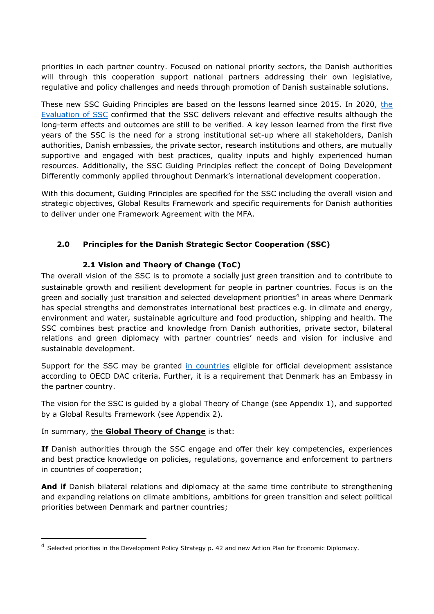priorities in each partner country. Focused on national priority sectors, the Danish authorities will through this cooperation support national partners addressing their own legislative, regulative and policy challenges and needs through promotion of Danish sustainable solutions.

These new SSC Guiding Principles are based on [the](https://www.google.com/url?sa=t&rct=j&q=&esrc=s&source=web&cd=&ved=2ahUKEwjasea00szzAhWVQvEDHbzLDskQFnoECAoQAQ&url=https%3A%2F%2Fum.dk%2F~%2Fmedia%2Fum%2Fdanish-site%2Fdocuments%2Fdanida%2Fresultater%2Feval%2F2020sscreportfinal.pdf%3Fla%3Den&usg=AOvVaw16ROPquIwsY799L1t64kcb) lessons learned since 2015. In 2020, the [Evaluation of SSC](https://www.google.com/url?sa=t&rct=j&q=&esrc=s&source=web&cd=&ved=2ahUKEwjasea00szzAhWVQvEDHbzLDskQFnoECAoQAQ&url=https%3A%2F%2Fum.dk%2F~%2Fmedia%2Fum%2Fdanish-site%2Fdocuments%2Fdanida%2Fresultater%2Feval%2F2020sscreportfinal.pdf%3Fla%3Den&usg=AOvVaw16ROPquIwsY799L1t64kcb) confirmed that the SSC delivers relevant and effective results although the long-term effects and outcomes are still to be verified. A key lesson learned from the first five years of the SSC is the need for a strong institutional set-up where all stakeholders, Danish authorities, Danish embassies, the private sector, research institutions and others, are mutually supportive and engaged with best practices, quality inputs and highly experienced human resources. Additionally, the SSC Guiding Principles reflect the concept of Doing Development Differently commonly applied throughout Denmark's international development cooperation.

With this document, Guiding Principles are specified for the SSC including the overall vision and strategic objectives, Global Results Framework and specific requirements for Danish authorities to deliver under one Framework Agreement with the MFA.

# **2.0 Principles for the Danish Strategic Sector Cooperation (SSC)**

## **2.1 Vision and Theory of Change (ToC)**

The overall vision of the SSC is to promote a socially just green transition and to contribute to sustainable growth and resilient development for people in partner countries. Focus is on the green and socially just transition and selected development priorities<sup>4</sup> in areas where Denmark has special strengths and demonstrates international best practices e.g. in climate and energy, environment and water, sustainable agriculture and food production, shipping and health. The SSC combines best practice and knowledge from Danish authorities, private sector, bilateral relations and green diplomacy with partner countries' needs and vision for inclusive and sustainable development.

Support for the SSC may be granted [in countries](https://www.oecd.org/dac/financing-sustainable-development/development-finance-standards/daclist.htm) eligible for official development assistance according to OECD DAC criteria. Further, it is a requirement that Denmark has an Embassy in the partner country.

The vision for the SSC is guided by a global Theory of Change (see Appendix 1), and supported by a Global Results Framework (see Appendix 2).

### In summary, the **Global Theory of Change** is that:

1

**If** Danish authorities through the SSC engage and offer their key competencies, experiences and best practice knowledge on policies, regulations, governance and enforcement to partners in countries of cooperation;

**And if** Danish bilateral relations and diplomacy at the same time contribute to strengthening and expanding relations on climate ambitions, ambitions for green transition and select political priorities between Denmark and partner countries;

<sup>&</sup>lt;sup>4</sup> Selected priorities in the Development Policy Strategy p. 42 and new Action Plan for Economic Diplomacy.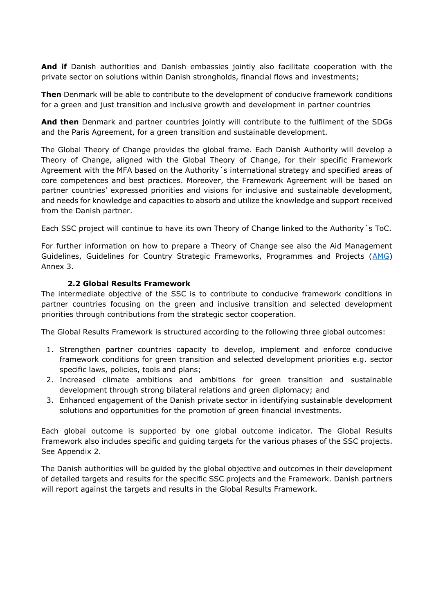**And if** Danish authorities and Danish embassies jointly also facilitate cooperation with the private sector on solutions within Danish strongholds, financial flows and investments;

**Then** Denmark will be able to contribute to the development of conducive framework conditions for a green and just transition and inclusive growth and development in partner countries

**And then** Denmark and partner countries jointly will contribute to the fulfilment of the SDGs and the Paris Agreement, for a green transition and sustainable development.

The Global Theory of Change provides the global frame. Each Danish Authority will develop a Theory of Change, aligned with the Global Theory of Change, for their specific Framework Agreement with the MFA based on the Authority´s international strategy and specified areas of core competences and best practices. Moreover, the Framework Agreement will be based on partner countries' expressed priorities and visions for inclusive and sustainable development, and needs for knowledge and capacities to absorb and utilize the knowledge and support received from the Danish partner.

Each SSC project will continue to have its own Theory of Change linked to the Authority´s ToC.

For further information on how to prepare a Theory of Change see also the Aid Management Guidelines, Guidelines for Country Strategic Frameworks, Programmes and Projects [\(AMG\)](https://amg.um.dk/en/programmes-and-projects/guidelines-for-country-strategic-frameworks-programmes-and-projects/) Annex 3.

#### **2.2 Global Results Framework**

The intermediate objective of the SSC is to contribute to conducive framework conditions in partner countries focusing on the green and inclusive transition and selected development priorities through contributions from the strategic sector cooperation.

The Global Results Framework is structured according to the following three global outcomes:

- 1. Strengthen partner countries capacity to develop, implement and enforce conducive framework conditions for green transition and selected development priorities e.g. sector specific laws, policies, tools and plans;
- 2. Increased climate ambitions and ambitions for green transition and sustainable development through strong bilateral relations and green diplomacy; and
- 3. Enhanced engagement of the Danish private sector in identifying sustainable development solutions and opportunities for the promotion of green financial investments.

Each global outcome is supported by one global outcome indicator. The Global Results Framework also includes specific and guiding targets for the various phases of the SSC projects. See Appendix 2.

The Danish authorities will be guided by the global objective and outcomes in their development of detailed targets and results for the specific SSC projects and the Framework. Danish partners will report against the targets and results in the Global Results Framework.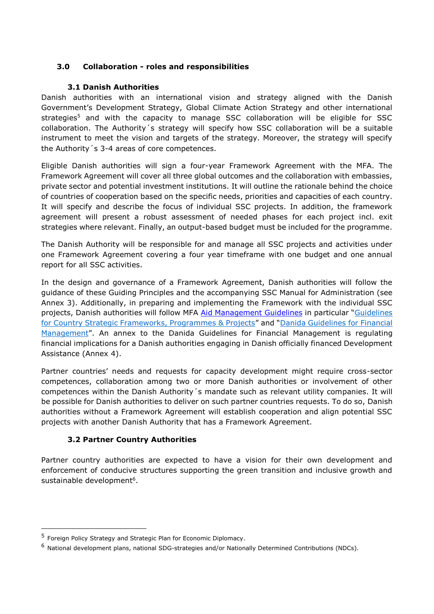## **3.0 Collaboration - roles and responsibilities**

### **3.1 Danish Authorities**

Danish authorities with an international vision and strategy aligned with the Danish Government's Development Strategy, Global Climate Action Strategy and other international strategies<sup>5</sup> and with the capacity to manage SSC collaboration will be eligible for SSC collaboration. The Authority´s strategy will specify how SSC collaboration will be a suitable instrument to meet the vision and targets of the strategy. Moreover, the strategy will specify the Authority´s 3-4 areas of core competences.

Eligible Danish authorities will sign a four-year Framework Agreement with the MFA. The Framework Agreement will cover all three global outcomes and the collaboration with embassies, private sector and potential investment institutions. It will outline the rationale behind the choice of countries of cooperation based on the specific needs, priorities and capacities of each country. It will specify and describe the focus of individual SSC projects. In addition, the framework agreement will present a robust assessment of needed phases for each project incl. exit strategies where relevant. Finally, an output-based budget must be included for the programme.

The Danish Authority will be responsible for and manage all SSC projects and activities under one Framework Agreement covering a four year timeframe with one budget and one annual report for all SSC activities.

In the design and governance of a Framework Agreement, Danish authorities will follow the guidance of these Guiding Principles and the accompanying SSC Manual for Administration (see Annex 3). Additionally, in preparing and implementing the Framework with the individual SSC projects, Danish authorities will follow MFA [Aid Management Guidelines](https://amg.um.dk/) in particular "Guidelines [for Country Strategic Frameworks, Programmes & Projects](https://amg.um.dk/en/programmes-and-projects/guidelines-for-country-strategic-frameworks-programmes-and-projects/)" and "[Danida Guidelines](https://amg.um.dk/en/programmes-and-projects/financial-management/) for Financial [Management](https://amg.um.dk/en/programmes-and-projects/financial-management/)". An annex to the Danida Guidelines for Financial Management is regulating financial implications for a Danish authorities engaging in Danish officially financed Development Assistance (Annex 4).

Partner countries' needs and requests for capacity development might require cross-sector competences, collaboration among two or more Danish authorities or involvement of other competences within the Danish Authority´s mandate such as relevant utility companies. It will be possible for Danish authorities to deliver on such partner countries requests. To do so, Danish authorities without a Framework Agreement will establish cooperation and align potential SSC projects with another Danish Authority that has a Framework Agreement.

# **3.2 Partner Country Authorities**

Partner country authorities are expected to have a vision for their own development and enforcement of conducive structures supporting the green transition and inclusive growth and sustainable development<sup>6</sup>.

 $\overline{a}$ 

<sup>&</sup>lt;sup>5</sup> Foreign Policy Strategy and Strategic Plan for Economic Diplomacy.

 $<sup>6</sup>$  National development plans, national SDG-strategies and/or Nationally Determined Contributions (NDCs).</sup>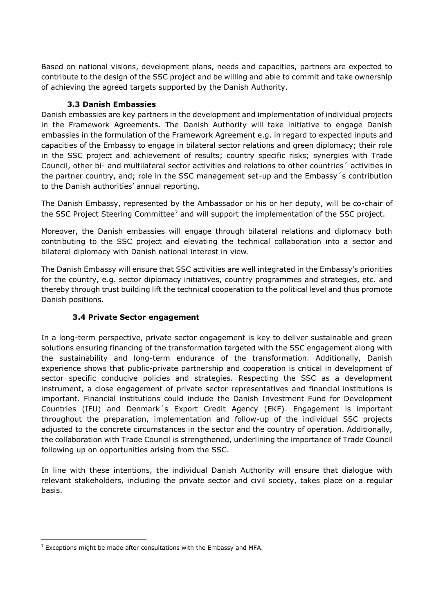Based on national visions, development plans, needs and capacities, partners are expected to contribute to the design of the SSC project and be willing and able to commit and take ownership of achieving the agreed targets supported by the Danish Authority.

## **3.3 Danish Embassies**

Danish embassies are key partners in the development and implementation of individual projects in the Framework Agreements. The Danish Authority will take initiative to engage Danish embassies in the formulation of the Framework Agreement e.g. in regard to expected inputs and capacities of the Embassy to engage in bilateral sector relations and green diplomacy; their role in the SSC project and achievement of results; country specific risks; synergies with Trade Council, other bi- and multilateral sector activities and relations to other countries´ activities in the partner country, and; role in the SSC management set-up and the Embassy´s contribution to the Danish authorities' annual reporting.

The Danish Embassy, represented by the Ambassador or his or her deputy, will be co-chair of the SSC Project Steering Committee<sup>7</sup> and will support the implementation of the SSC project.

Moreover, the Danish embassies will engage through bilateral relations and diplomacy both contributing to the SSC project and elevating the technical collaboration into a sector and bilateral diplomacy with Danish national interest in view.

The Danish Embassy will ensure that SSC activities are well integrated in the Embassy's priorities for the country, e.g. sector diplomacy initiatives, country programmes and strategies, etc. and thereby through trust building lift the technical cooperation to the political level and thus promote Danish positions.

# **3.4 Private Sector engagement**

In a long-term perspective, private sector engagement is key to deliver sustainable and green solutions ensuring financing of the transformation targeted with the SSC engagement along with the sustainability and long-term endurance of the transformation. Additionally, Danish experience shows that public-private partnership and cooperation is critical in development of sector specific conducive policies and strategies. Respecting the SSC as a development instrument, a close engagement of private sector representatives and financial institutions is important. Financial institutions could include the Danish Investment Fund for Development Countries (IFU) and Denmark´s Export Credit Agency (EKF). Engagement is important throughout the preparation, implementation and follow-up of the individual SSC projects adjusted to the concrete circumstances in the sector and the country of operation. Additionally, the collaboration with Trade Council is strengthened, underlining the importance of Trade Council following up on opportunities arising from the SSC.

In line with these intentions, the individual Danish Authority will ensure that dialogue with relevant stakeholders, including the private sector and civil society, takes place on a regular basis.

1

 $7$  Exceptions might be made after consultations with the Embassy and MFA.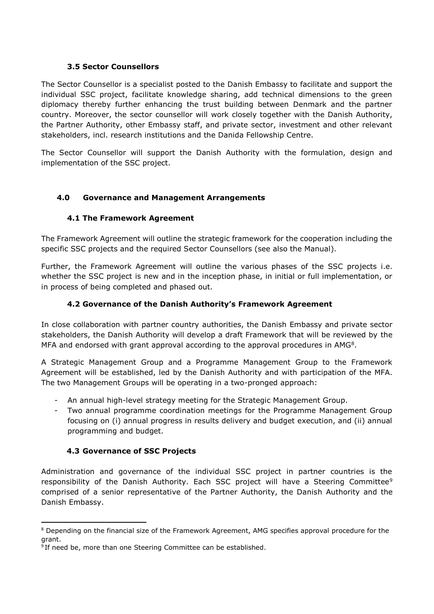### **3.5 Sector Counsellors**

The Sector Counsellor is a specialist posted to the Danish Embassy to facilitate and support the individual SSC project, facilitate knowledge sharing, add technical dimensions to the green diplomacy thereby further enhancing the trust building between Denmark and the partner country. Moreover, the sector counsellor will work closely together with the Danish Authority, the Partner Authority, other Embassy staff, and private sector, investment and other relevant stakeholders, incl. research institutions and the Danida Fellowship Centre.

The Sector Counsellor will support the Danish Authority with the formulation, design and implementation of the SSC project.

## **4.0 Governance and Management Arrangements**

## **4.1 The Framework Agreement**

The Framework Agreement will outline the strategic framework for the cooperation including the specific SSC projects and the required Sector Counsellors (see also the Manual).

Further, the Framework Agreement will outline the various phases of the SSC projects i.e. whether the SSC project is new and in the inception phase, in initial or full implementation, or in process of being completed and phased out.

## **4.2 Governance of the Danish Authority's Framework Agreement**

In close collaboration with partner country authorities, the Danish Embassy and private sector stakeholders, the Danish Authority will develop a draft Framework that will be reviewed by the MFA and endorsed with grant approval according to the approval procedures in  $AMG<sup>8</sup>$ .

A Strategic Management Group and a Programme Management Group to the Framework Agreement will be established, led by the Danish Authority and with participation of the MFA. The two Management Groups will be operating in a two-pronged approach:

- An annual high-level strategy meeting for the Strategic Management Group.
- Two annual programme coordination meetings for the Programme Management Group focusing on (i) annual progress in results delivery and budget execution, and (ii) annual programming and budget.

### **4.3 Governance of SSC Projects**

1

Administration and governance of the individual SSC project in partner countries is the responsibility of the Danish Authority. Each SSC project will have a Steering Committee<sup>9</sup> comprised of a senior representative of the Partner Authority, the Danish Authority and the Danish Embassy.

<sup>&</sup>lt;sup>8</sup> Depending on the financial size of the Framework Agreement, AMG specifies approval procedure for the grant.

<sup>&</sup>lt;sup>9</sup> If need be, more than one Steering Committee can be established.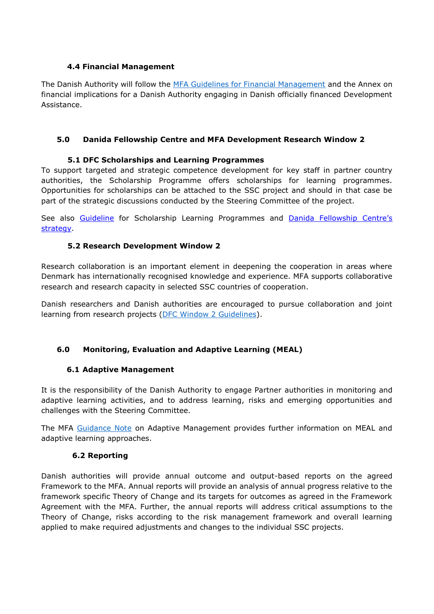## **4.4 Financial Management**

The Danish Authority will follow the [MFA Guidelines for Financial Management](https://amg.um.dk/en/programmes-and-projects/financial-management/) and the Annex on financial implications for a Danish Authority engaging in Danish officially financed Development Assistance.

## **5.0 Danida Fellowship Centre and MFA Development Research Window 2**

## **5.1 DFC Scholarships and Learning Programmes**

To support targeted and strategic competence development for key staff in partner country authorities, the Scholarship Programme offers scholarships for learning programmes. Opportunities for scholarships can be attached to the SSC project and should in that case be part of the strategic discussions conducted by the Steering Committee of the project.

See also [Guideline](https://dfcentre.com/wp-content/uploads/2021/08/Guidelines-Sector-Counsellors-and-Danish-Authorities-May-2021.pdf) for Scholarship Learning Programmes and Danida Fellowship Centre's [strategy.](https://dfcentre.com/organisation/danida-fellowship-centres-strategy/)

### **5.2 Research Development Window 2**

Research collaboration is an important element in deepening the cooperation in areas where Denmark has internationally recognised knowledge and experience. MFA supports collaborative research and research capacity in selected SSC countries of cooperation.

Danish researchers and Danish authorities are encouraged to pursue collaboration and joint learning from research projects [\(DFC Window 2 Guidelines\)](https://dfcentre.com/wp-content/uploads/2020/11/W2-Call-2021-final.pdf).

# **6.0 Monitoring, Evaluation and Adaptive Learning (MEAL)**

### **6.1 Adaptive Management**

It is the responsibility of the Danish Authority to engage Partner authorities in monitoring and adaptive learning activities, and to address learning, risks and emerging opportunities and challenges with the Steering Committee.

The MFA [Guidance Note](https://amg.um.dk/en/tools/guidance-note-for-adaptive-management/) on Adaptive Management provides further information on MEAL and adaptive learning approaches.

### **6.2 Reporting**

Danish authorities will provide annual outcome and output-based reports on the agreed Framework to the MFA. Annual reports will provide an analysis of annual progress relative to the framework specific Theory of Change and its targets for outcomes as agreed in the Framework Agreement with the MFA. Further, the annual reports will address critical assumptions to the Theory of Change, risks according to the risk management framework and overall learning applied to make required adjustments and changes to the individual SSC projects.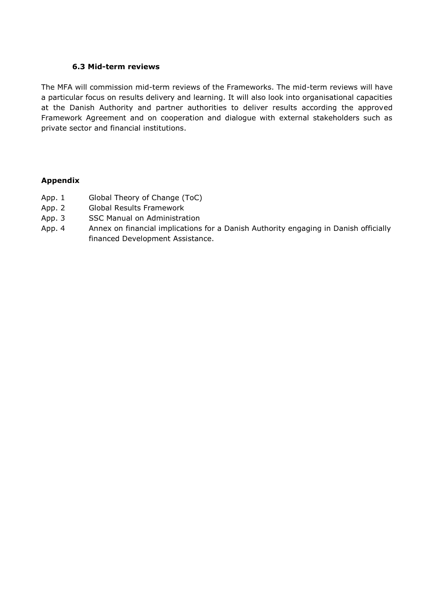#### **6.3 Mid-term reviews**

The MFA will commission mid-term reviews of the Frameworks. The mid-term reviews will have a particular focus on results delivery and learning. It will also look into organisational capacities at the Danish Authority and partner authorities to deliver results according the approved Framework Agreement and on cooperation and dialogue with external stakeholders such as private sector and financial institutions.

#### **Appendix**

- App. 1 Global Theory of Change (ToC)
- App. 2 Global Results Framework
- App. 3 SSC Manual on Administration
- App. 4 Annex on financial implications for a Danish Authority engaging in Danish officially financed Development Assistance.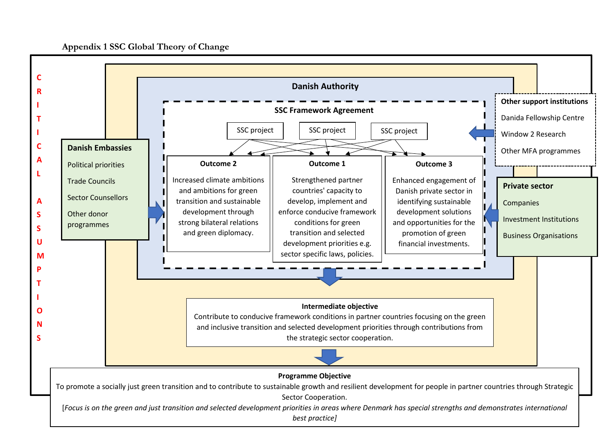# **Appendix 1 SSC Global Theory of Change**

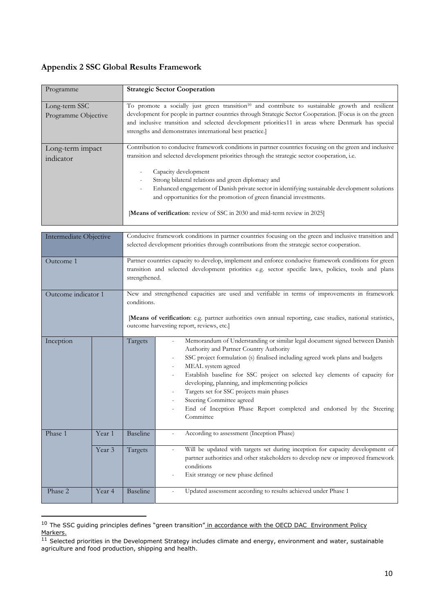# **Appendix 2 SSC Global Results Framework**

| Programme                            |        | <b>Strategic Sector Cooperation</b>                                                                                                                                                                                                                                                                                                                                                                                                                                                                                                                            |  |  |
|--------------------------------------|--------|----------------------------------------------------------------------------------------------------------------------------------------------------------------------------------------------------------------------------------------------------------------------------------------------------------------------------------------------------------------------------------------------------------------------------------------------------------------------------------------------------------------------------------------------------------------|--|--|
| Long-term SSC<br>Programme Objective |        | To promote a socially just green transition <sup>10</sup> and contribute to sustainable growth and resilient<br>development for people in partner countries through Strategic Sector Cooperation. [Focus is on the green<br>and inclusive transition and selected development priorities11 in areas where Denmark has special<br>strengths and demonstrates international best practice.]                                                                                                                                                                      |  |  |
| Long-term impact<br>indicator        |        | Contribution to conducive framework conditions in partner countries focusing on the green and inclusive<br>transition and selected development priorities through the strategic sector cooperation, i.e.<br>Capacity development<br>Strong bilateral relations and green diplomacy and<br>Enhanced engagement of Danish private sector in identifying sustainable development solutions<br>$\overline{a}$<br>and opportunities for the promotion of green financial investments.<br>[Means of verification: review of SSC in 2030 and mid-term review in 2025] |  |  |
|                                      |        |                                                                                                                                                                                                                                                                                                                                                                                                                                                                                                                                                                |  |  |
| Intermediate Objective               |        | Conducive framework conditions in partner countries focusing on the green and inclusive transition and<br>selected development priorities through contributions from the strategic sector cooperation.                                                                                                                                                                                                                                                                                                                                                         |  |  |
| Outcome 1                            |        | Partner countries capacity to develop, implement and enforce conducive framework conditions for green<br>transition and selected development priorities e.g. sector specific laws, policies, tools and plans<br>strengthened.                                                                                                                                                                                                                                                                                                                                  |  |  |
| Outcome indicator 1                  |        | New and strengthened capacities are used and verifiable in terms of improvements in framework<br>conditions.<br>[Means of verification: e.g. partner authorities own annual reporting, case studies, national statistics,<br>outcome harvesting report, reviews, etc.]                                                                                                                                                                                                                                                                                         |  |  |
| Inception                            |        | Memorandum of Understanding or similar legal document signed between Danish<br>Targets<br>Authority and Partner Country Authority<br>SSC project formulation (s) finalised including agreed work plans and budgets<br>MEAL system agreed<br>$\overline{a}$<br>Establish baseline for SSC project on selected key elements of capacity for<br>developing, planning, and implementing policies<br>Targets set for SSC projects main phases<br>Steering Committee agreed<br>End of Inception Phase Report completed and endorsed by the Steering<br>Committee     |  |  |
| Phase 1                              | Year 1 | Baseline<br>According to assessment (Inception Phase)                                                                                                                                                                                                                                                                                                                                                                                                                                                                                                          |  |  |

|         | Year 3 | Targets         | Will be updated with targets set during inception for capacity development of<br>partner authorities and other stakeholders to develop new or improved framework<br>conditions<br>Exit strategy or new phase defined |
|---------|--------|-----------------|----------------------------------------------------------------------------------------------------------------------------------------------------------------------------------------------------------------------|
| Phase 2 | Year 4 | <b>Baseline</b> | Updated assessment according to results achieved under Phase 1<br>$\overline{\phantom{0}}$                                                                                                                           |

<sup>&</sup>lt;sup>10</sup> The SSC guiding principles defines "green transition" in accordance with the OECD DAC Environment Policy Markers.

**.** 

 $11$  Selected priorities in the Development Strategy includes climate and energy, environment and water, sustainable agriculture and food production, shipping and health.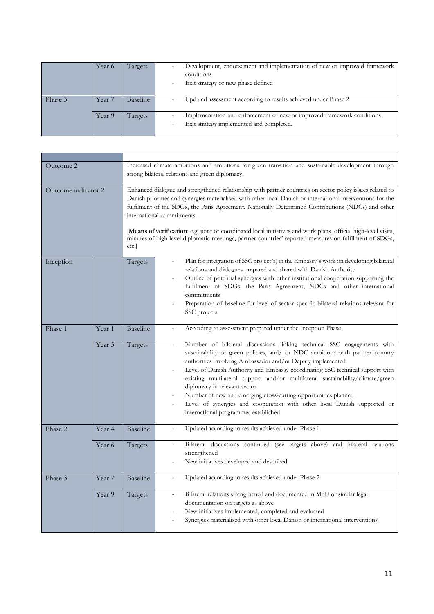|         | Year 6 | Targets         | Development, endorsement and implementation of new or improved framework<br>conditions<br>Exit strategy or new phase defined |
|---------|--------|-----------------|------------------------------------------------------------------------------------------------------------------------------|
| Phase 3 | Year 7 | <b>Baseline</b> | Updated assessment according to results achieved under Phase 2                                                               |
|         | Year 9 | Targets         | Implementation and enforcement of new or improved framework conditions<br>Exit strategy implemented and completed.           |

| Outcome 2           |        | Increased climate ambitions and ambitions for green transition and sustainable development through<br>strong bilateral relations and green diplomacy.                                                                                                                                                                                                                                                                                                                                                                                                                                            |                                                                                                                                                                                                                                                                                                                                                                                                                                                                                                                                                                                                                                          |  |
|---------------------|--------|--------------------------------------------------------------------------------------------------------------------------------------------------------------------------------------------------------------------------------------------------------------------------------------------------------------------------------------------------------------------------------------------------------------------------------------------------------------------------------------------------------------------------------------------------------------------------------------------------|------------------------------------------------------------------------------------------------------------------------------------------------------------------------------------------------------------------------------------------------------------------------------------------------------------------------------------------------------------------------------------------------------------------------------------------------------------------------------------------------------------------------------------------------------------------------------------------------------------------------------------------|--|
| Outcome indicator 2 |        | Enhanced dialogue and strengthened relationship with partner countries on sector policy issues related to<br>Danish priorities and synergies materialised with other local Danish or international interventions for the<br>fulfilment of the SDGs, the Paris Agreement, Nationally Determined Contributions (NDCs) and other<br>international commitments.<br>[Means of verification: e.g. joint or coordinated local initiatives and work plans, official high-level visits,<br>minutes of high-level diplomatic meetings, partner countries' reported measures on fulfilment of SDGs,<br>etc. |                                                                                                                                                                                                                                                                                                                                                                                                                                                                                                                                                                                                                                          |  |
| Inception           |        | Targets                                                                                                                                                                                                                                                                                                                                                                                                                                                                                                                                                                                          | Plan for integration of SSC project(s) in the Embassy's work on developing bilateral<br>relations and dialogues prepared and shared with Danish Authority<br>Outline of potential synergies with other institutional cooperation supporting the<br>fulfilment of SDGs, the Paris Agreement, NDCs and other international<br>commitments<br>Preparation of baseline for level of sector specific bilateral relations relevant for<br>SSC projects                                                                                                                                                                                         |  |
| Phase 1             | Year 1 | <b>Baseline</b>                                                                                                                                                                                                                                                                                                                                                                                                                                                                                                                                                                                  | According to assessment prepared under the Inception Phase                                                                                                                                                                                                                                                                                                                                                                                                                                                                                                                                                                               |  |
|                     | Year 3 | Targets                                                                                                                                                                                                                                                                                                                                                                                                                                                                                                                                                                                          | Number of bilateral discussions linking technical SSC engagements with<br>$\overline{\phantom{a}}$<br>sustainability or green policies, and/ or NDC ambitions with partner country<br>authorities involving Ambassador and/or Deputy implemented<br>Level of Danish Authority and Embassy coordinating SSC technical support with<br>existing multilateral support and/or multilateral sustainability/climate/green<br>diplomacy in relevant sector<br>Number of new and emerging cross-cutting opportunities planned<br>Level of synergies and cooperation with other local Danish supported or<br>international programmes established |  |
| Phase 2             | Year 4 | <b>Baseline</b>                                                                                                                                                                                                                                                                                                                                                                                                                                                                                                                                                                                  | Updated according to results achieved under Phase 1<br>$\overline{\phantom{a}}$                                                                                                                                                                                                                                                                                                                                                                                                                                                                                                                                                          |  |
|                     | Year 6 | Targets                                                                                                                                                                                                                                                                                                                                                                                                                                                                                                                                                                                          | Bilateral discussions continued (see targets above) and bilateral relations<br>$\overline{a}$<br>strengthened<br>New initiatives developed and described                                                                                                                                                                                                                                                                                                                                                                                                                                                                                 |  |
| Phase 3             | Year 7 | <b>Baseline</b>                                                                                                                                                                                                                                                                                                                                                                                                                                                                                                                                                                                  | Updated according to results achieved under Phase 2<br>$\overline{\phantom{a}}$                                                                                                                                                                                                                                                                                                                                                                                                                                                                                                                                                          |  |
|                     | Year 9 | Targets                                                                                                                                                                                                                                                                                                                                                                                                                                                                                                                                                                                          | Bilateral relations strengthened and documented in MoU or similar legal<br>$\blacksquare$<br>documentation on targets as above<br>New initiatives implemented, completed and evaluated<br>Synergies materialised with other local Danish or international interventions                                                                                                                                                                                                                                                                                                                                                                  |  |